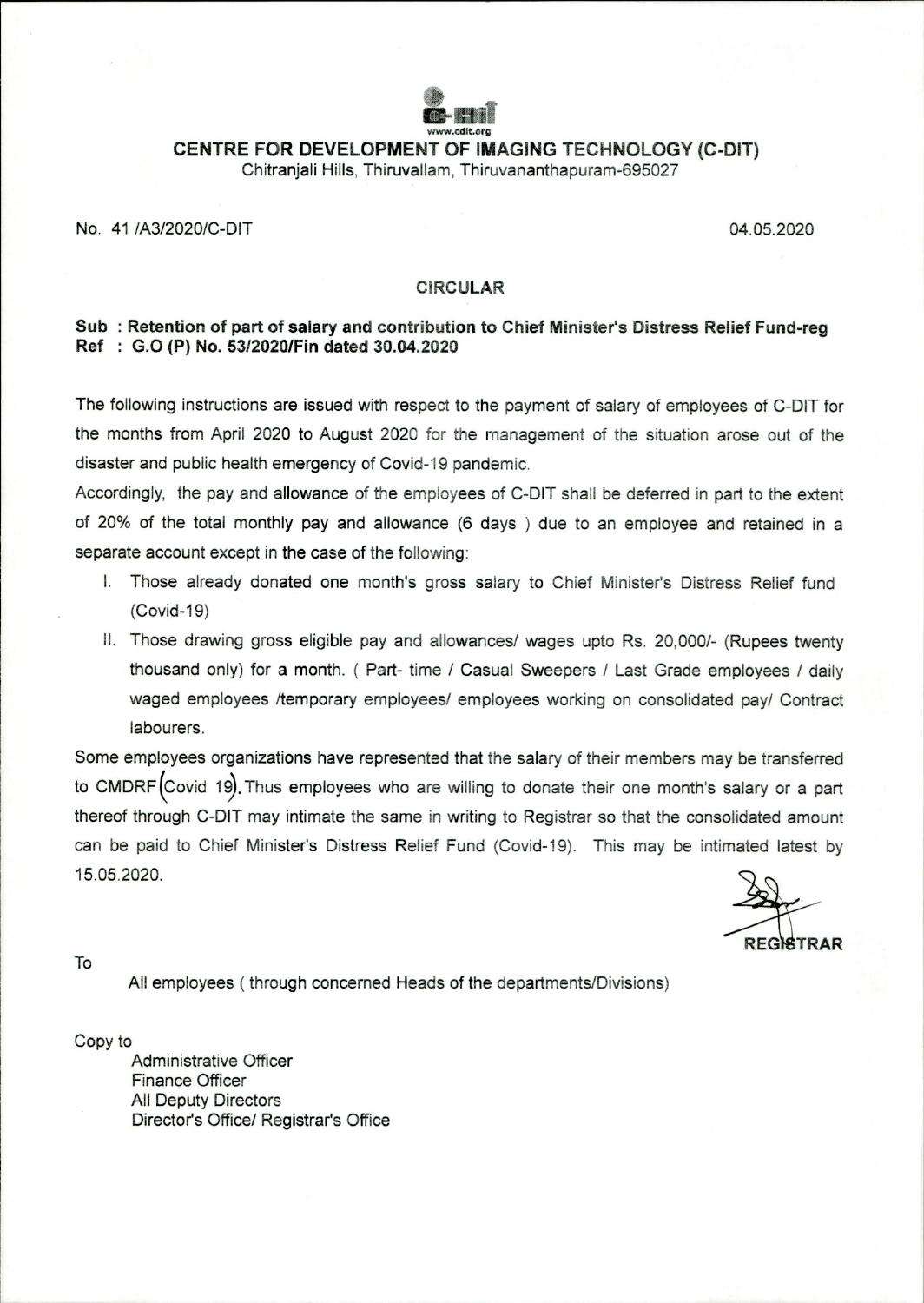

**CENTRE FOR DEVELOPMENT OF IMAGING TECHNOLOGY (C-DIT)** 

Chitranjali Hills, Thiruvallam, Thiruvananthapuram-695027

## No. 41 /A3/2020/C-DIT 04.05.2020

## **CIRCULAR**

## **Sub : Retention of part of salary and contribution to Chief Minister's Distress Relief Fund-reg Ref : G.0 (P) No. 53/2020/Fin dated 30.04.2020**

The following instructions are issued with respect to the payment of salary of employees of C-DIT for the months from April 2020 to August 2020 for the management of the situation arose out of the disaster and public health emergency of Covid-19 pandemic.

Accordingly, the pay and allowance of the employees of C-DIT shall be deferred in part to the extent of 20% of the total monthly pay and allowance (6 days ) due to an employee and retained in a separate account except in the case of the following:

- I. Those already donated one month's gross salary to Chief Minister's Distress Relief fund (Covid-19)
- II. Those drawing gross eligible pay and allowances/ wages upto Rs. 20,000/- (Rupees twenty thousand only) for a month. ( Part- time / Casual Sweepers / Last Grade employees / daily waged employees /temporary employees/ employees working on consolidated pay/ Contract labourers.

Some employees organizations have represented that the salary of their members may be transferred to CMDRF (Covid 19). Thus employees who are willing to donate their one month's salary or a part thereof through C-DIT may intimate the same in writing to Registrar so that the consolidated amount can be paid to Chief Minister's Distress Relief Fund (Covid-19). This may be intimated latest by 15.05.2020.

To

All employees ( through concerned Heads of the departments/Divisions)

Copy to

Administrative Officer Finance Officer All Deputy Directors Director's Office/ Registrar's Office